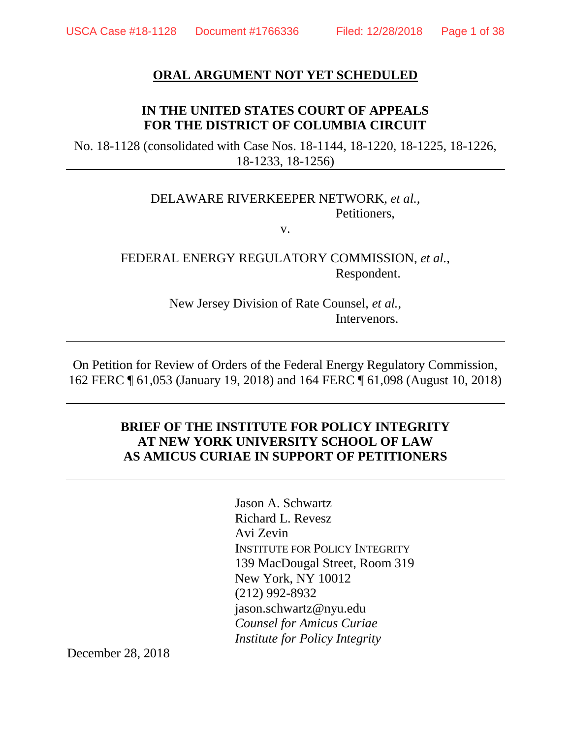## **ORAL ARGUMENT NOT YET SCHEDULED**

# **IN THE UNITED STATES COURT OF APPEALS FOR THE DISTRICT OF COLUMBIA CIRCUIT**

No. 18-1128 (consolidated with Case Nos. 18-1144, 18-1220, 18-1225, 18-1226, 18-1233, 18-1256)

### DELAWARE RIVERKEEPER NETWORK, *et al.*, Petitioners,

v.

# FEDERAL ENERGY REGULATORY COMMISSION, *et al.*, Respondent.

New Jersey Division of Rate Counsel, *et al.*, Intervenors.

On Petition for Review of Orders of the Federal Energy Regulatory Commission, 162 FERC ¶ 61,053 (January 19, 2018) and 164 FERC ¶ 61,098 (August 10, 2018)

## **BRIEF OF THE INSTITUTE FOR POLICY INTEGRITY AT NEW YORK UNIVERSITY SCHOOL OF LAW AS AMICUS CURIAE IN SUPPORT OF PETITIONERS**

Jason A. Schwartz Richard L. Revesz Avi Zevin INSTITUTE FOR POLICY INTEGRITY 139 MacDougal Street, Room 319 New York, NY 10012 (212) 992-8932 jason.schwartz@nyu.edu *Counsel for Amicus Curiae Institute for Policy Integrity*

December 28, 2018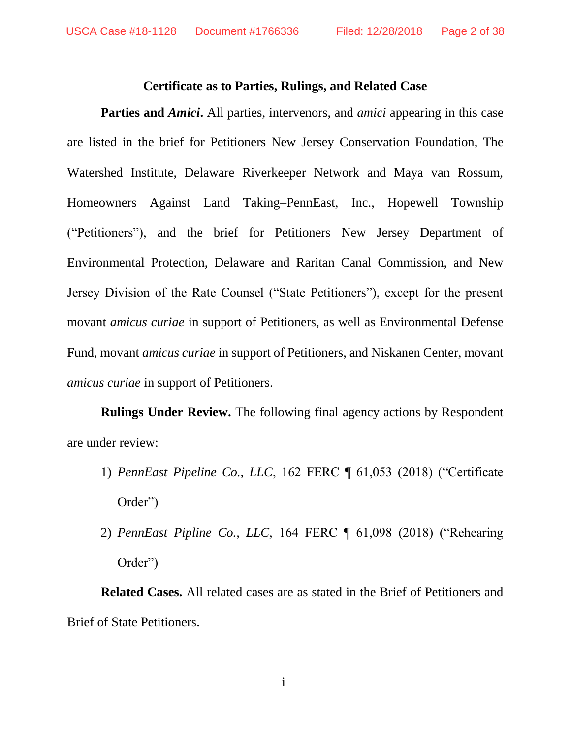### <span id="page-1-0"></span>**Certificate as to Parties, Rulings, and Related Case**

**Parties and** *Amici***.** All parties, intervenors, and *amici* appearing in this case are listed in the brief for Petitioners New Jersey Conservation Foundation, The Watershed Institute, Delaware Riverkeeper Network and Maya van Rossum, Homeowners Against Land Taking–PennEast, Inc., Hopewell Township ("Petitioners"), and the brief for Petitioners New Jersey Department of Environmental Protection, Delaware and Raritan Canal Commission, and New Jersey Division of the Rate Counsel ("State Petitioners"), except for the present movant *amicus curiae* in support of Petitioners, as well as Environmental Defense Fund, movant *amicus curiae* in support of Petitioners, and Niskanen Center, movant *amicus curiae* in support of Petitioners.

**Rulings Under Review.** The following final agency actions by Respondent are under review:

- 1) *PennEast Pipeline Co., LLC*, 162 FERC ¶ 61,053 (2018) ("Certificate Order")
- 2) *PennEast Pipline Co., LLC,* 164 FERC ¶ 61,098 (2018) ("Rehearing Order")

**Related Cases.** All related cases are as stated in the Brief of Petitioners and Brief of State Petitioners.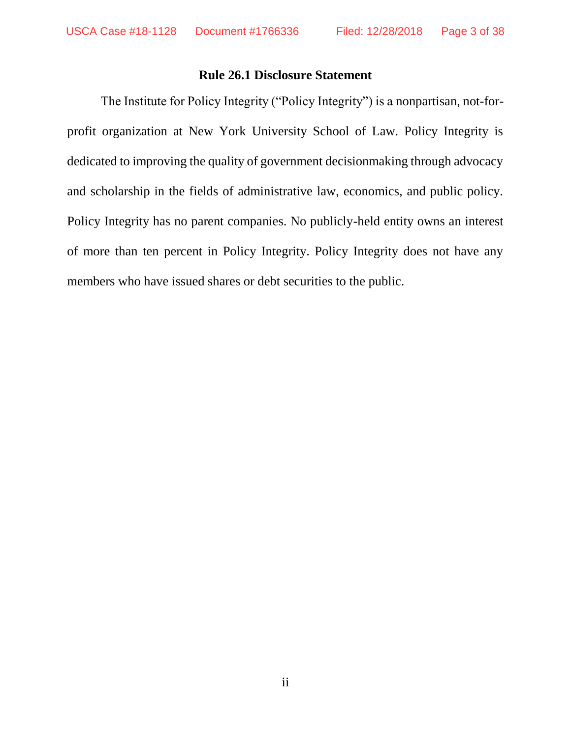## <span id="page-2-0"></span>**Rule 26.1 Disclosure Statement**

The Institute for Policy Integrity ("Policy Integrity") is a nonpartisan, not-forprofit organization at New York University School of Law. Policy Integrity is dedicated to improving the quality of government decisionmaking through advocacy and scholarship in the fields of administrative law, economics, and public policy. Policy Integrity has no parent companies. No publicly-held entity owns an interest of more than ten percent in Policy Integrity. Policy Integrity does not have any members who have issued shares or debt securities to the public.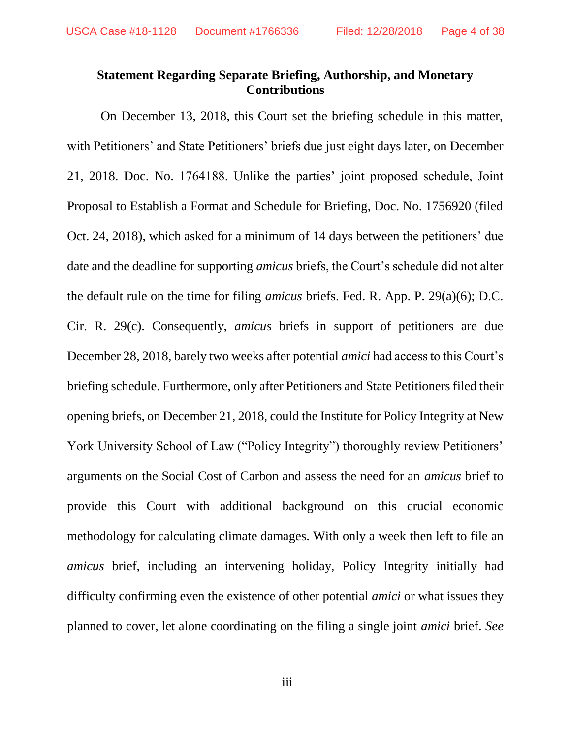# <span id="page-3-0"></span>**Statement Regarding Separate Briefing, Authorship, and Monetary Contributions**

On December 13, 2018, this Court set the briefing schedule in this matter, with Petitioners' and State Petitioners' briefs due just eight days later, on December 21, 2018. Doc. No. 1764188. Unlike the parties' joint proposed schedule, Joint Proposal to Establish a Format and Schedule for Briefing, Doc. No. 1756920 (filed Oct. 24, 2018), which asked for a minimum of 14 days between the petitioners' due date and the deadline for supporting *amicus* briefs, the Court's schedule did not alter the default rule on the time for filing *amicus* briefs. Fed. R. App. P. 29(a)(6); D.C. Cir. R. 29(c). Consequently, *amicus* briefs in support of petitioners are due December 28, 2018, barely two weeks after potential *amici* had access to this Court's briefing schedule. Furthermore, only after Petitioners and State Petitioners filed their opening briefs, on December 21, 2018, could the Institute for Policy Integrity at New York University School of Law ("Policy Integrity") thoroughly review Petitioners' arguments on the Social Cost of Carbon and assess the need for an *amicus* brief to provide this Court with additional background on this crucial economic methodology for calculating climate damages. With only a week then left to file an *amicus* brief, including an intervening holiday, Policy Integrity initially had difficulty confirming even the existence of other potential *amici* or what issues they planned to cover, let alone coordinating on the filing a single joint *amici* brief. *See*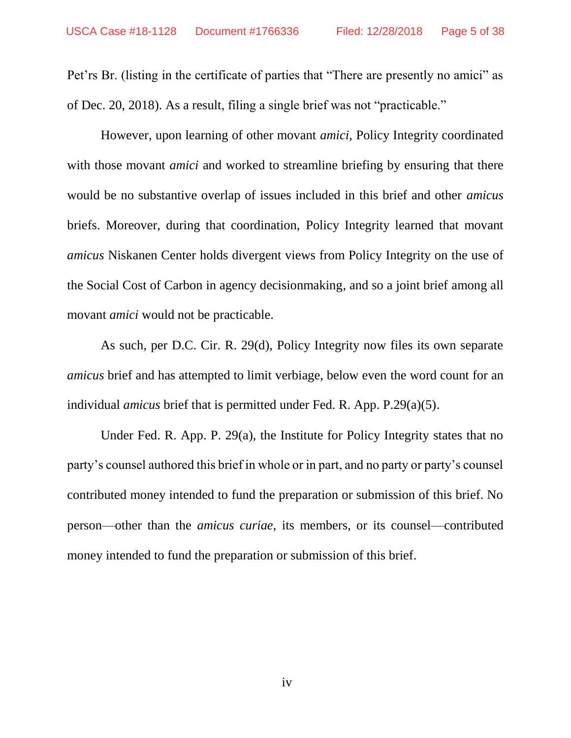Pet'rs Br. (listing in the certificate of parties that "There are presently no amici" as of Dec. 20, 2018). As a result, filing a single brief was not "practicable."

However, upon learning of other movant *amici*, Policy Integrity coordinated with those movant *amici* and worked to streamline briefing by ensuring that there would be no substantive overlap of issues included in this brief and other *amicus*  briefs. Moreover, during that coordination, Policy Integrity learned that movant *amicus* Niskanen Center holds divergent views from Policy Integrity on the use of the Social Cost of Carbon in agency decisionmaking, and so a joint brief among all movant *amici* would not be practicable.

As such, per D.C. Cir. R. 29(d), Policy Integrity now files its own separate *amicus* brief and has attempted to limit verbiage, below even the word count for an individual *amicus* brief that is permitted under Fed. R. App. P.29(a)(5).

Under Fed. R. App. P. 29(a), the Institute for Policy Integrity states that no party's counsel authored this brief in whole or in part, and no party or party's counsel contributed money intended to fund the preparation or submission of this brief. No person—other than the *amicus curiae*, its members, or its counsel—contributed money intended to fund the preparation or submission of this brief.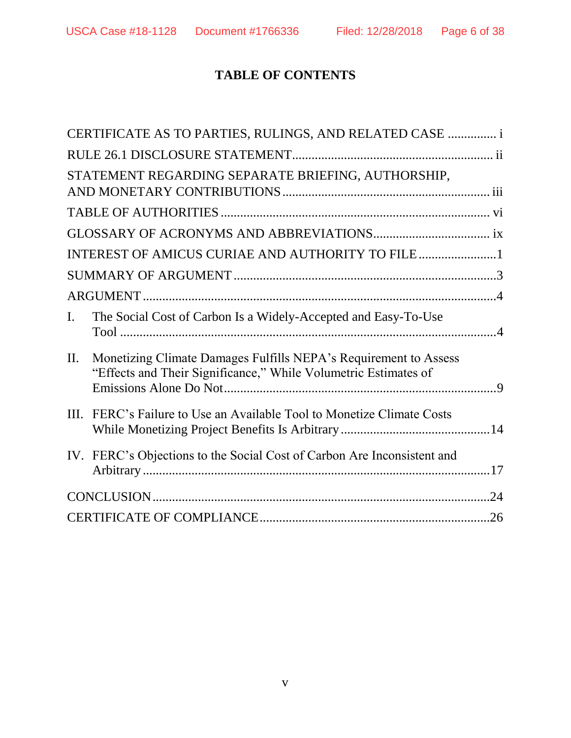# **TABLE OF CONTENTS**

|                | CERTIFICATE AS TO PARTIES, RULINGS, AND RELATED CASE  i                                                                             |
|----------------|-------------------------------------------------------------------------------------------------------------------------------------|
|                |                                                                                                                                     |
|                | STATEMENT REGARDING SEPARATE BRIEFING, AUTHORSHIP,                                                                                  |
|                |                                                                                                                                     |
|                |                                                                                                                                     |
|                |                                                                                                                                     |
|                |                                                                                                                                     |
|                |                                                                                                                                     |
| $\mathbf{I}$ . | The Social Cost of Carbon Is a Widely-Accepted and Easy-To-Use                                                                      |
| II.            | Monetizing Climate Damages Fulfills NEPA's Requirement to Assess<br>"Effects and Their Significance," While Volumetric Estimates of |
|                | III. FERC's Failure to Use an Available Tool to Monetize Climate Costs                                                              |
|                | IV. FERC's Objections to the Social Cost of Carbon Are Inconsistent and                                                             |
|                |                                                                                                                                     |
|                |                                                                                                                                     |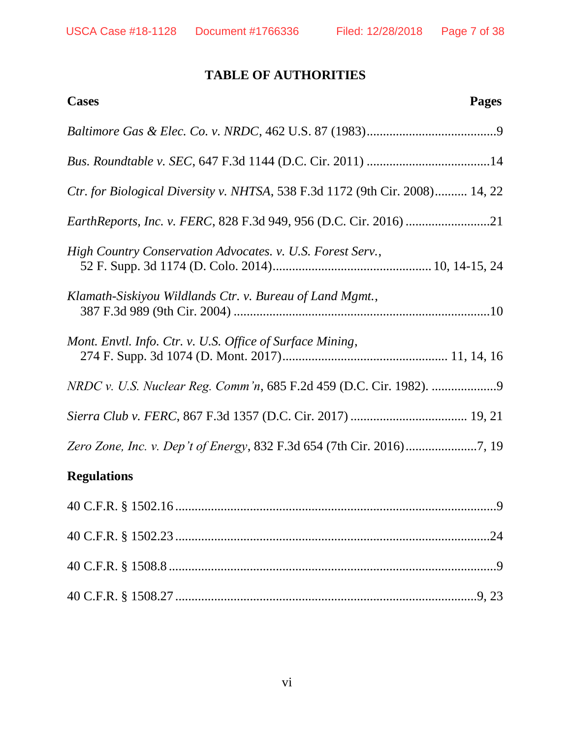# **TABLE OF AUTHORITIES**

<span id="page-6-0"></span>

| <b>Cases</b><br>Pages                                                               |
|-------------------------------------------------------------------------------------|
|                                                                                     |
|                                                                                     |
| <i>Ctr. for Biological Diversity v. NHTSA, 538 F.3d 1172 (9th Cir. 2008)</i> 14, 22 |
| <i>EarthReports, Inc. v. FERC, 828 F.3d 949, 956 (D.C. Cir. 2016) </i> 21           |
| High Country Conservation Advocates. v. U.S. Forest Serv.,                          |
| Klamath-Siskiyou Wildlands Ctr. v. Bureau of Land Mgmt.,                            |
| Mont. Envtl. Info. Ctr. v. U.S. Office of Surface Mining,                           |
|                                                                                     |
|                                                                                     |
|                                                                                     |

# **Regulations**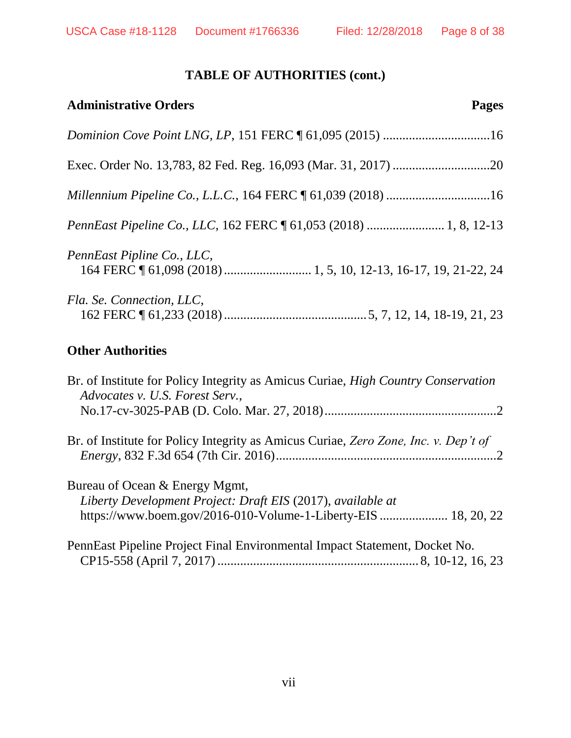# **TABLE OF AUTHORITIES (cont.)**

| <b>Administrative Orders</b><br><b>Pages</b>                                                                                                                    |
|-----------------------------------------------------------------------------------------------------------------------------------------------------------------|
| Dominion Cove Point LNG, LP, 151 FERC 161,095 (2015) 16                                                                                                         |
|                                                                                                                                                                 |
|                                                                                                                                                                 |
| PennEast Pipeline Co., LLC, 162 FERC 161,053 (2018)  1, 8, 12-13                                                                                                |
| PennEast Pipline Co., LLC,                                                                                                                                      |
| Fla. Se. Connection, LLC,                                                                                                                                       |
| <b>Other Authorities</b>                                                                                                                                        |
| Br. of Institute for Policy Integrity as Amicus Curiae, High Country Conservation<br>Advocates v. U.S. Forest Serv.,                                            |
| Br. of Institute for Policy Integrity as Amicus Curiae, Zero Zone, Inc. v. Dep't of                                                                             |
| Bureau of Ocean & Energy Mgmt,<br>Liberty Development Project: Draft EIS (2017), available at<br>https://www.boem.gov/2016-010-Volume-1-Liberty-EIS  18, 20, 22 |
| PennEast Pipeline Project Final Environmental Impact Statement, Docket No.                                                                                      |

CP15-558 (April 7, 2017) .............................................................. 8, 10-12, 16, 23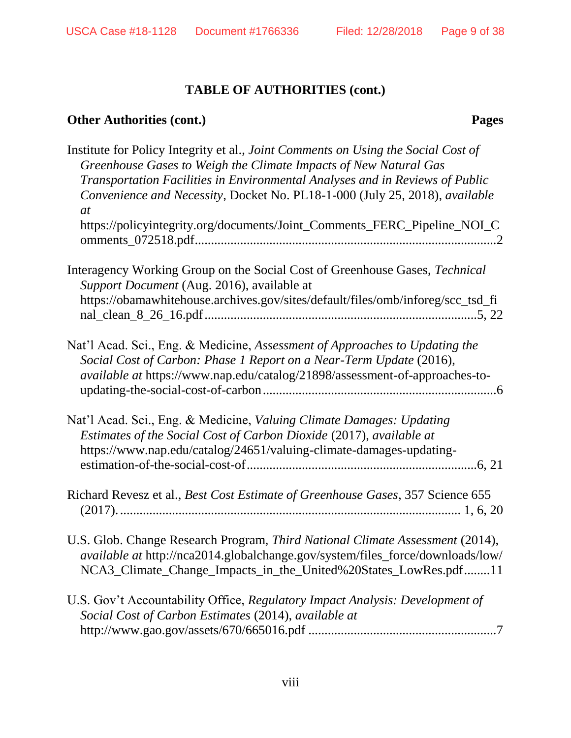# **TABLE OF AUTHORITIES (cont.)**

# **Other Authorities (cont.) Pages**

| Institute for Policy Integrity et al., Joint Comments on Using the Social Cost of<br>Greenhouse Gases to Weigh the Climate Impacts of New Natural Gas<br>Transportation Facilities in Environmental Analyses and in Reviews of Public<br>Convenience and Necessity, Docket No. PL18-1-000 (July 25, 2018), available<br>at<br>https://policyintegrity.org/documents/Joint_Comments_FERC_Pipeline_NOI_C |
|--------------------------------------------------------------------------------------------------------------------------------------------------------------------------------------------------------------------------------------------------------------------------------------------------------------------------------------------------------------------------------------------------------|
| Interagency Working Group on the Social Cost of Greenhouse Gases, Technical<br>Support Document (Aug. 2016), available at<br>https://obamawhitehouse.archives.gov/sites/default/files/omb/inforeg/scc_tsd_fi                                                                                                                                                                                           |
| Nat'l Acad. Sci., Eng. & Medicine, Assessment of Approaches to Updating the<br>Social Cost of Carbon: Phase 1 Report on a Near-Term Update (2016),<br>available at https://www.nap.edu/catalog/21898/assessment-of-approaches-to-                                                                                                                                                                      |
| Nat'l Acad. Sci., Eng. & Medicine, Valuing Climate Damages: Updating<br>Estimates of the Social Cost of Carbon Dioxide (2017), available at<br>https://www.nap.edu/catalog/24651/valuing-climate-damages-updating-                                                                                                                                                                                     |
| Richard Revesz et al., Best Cost Estimate of Greenhouse Gases, 357 Science 655                                                                                                                                                                                                                                                                                                                         |
| U.S. Glob. Change Research Program, Third National Climate Assessment (2014),<br>available at http://nca2014.globalchange.gov/system/files_force/downloads/low/<br>NCA3_Climate_Change_Impacts_in_the_United%20States_LowRes.pdf11                                                                                                                                                                     |
| U.S. Gov't Accountability Office, Regulatory Impact Analysis: Development of<br>Social Cost of Carbon Estimates (2014), available at                                                                                                                                                                                                                                                                   |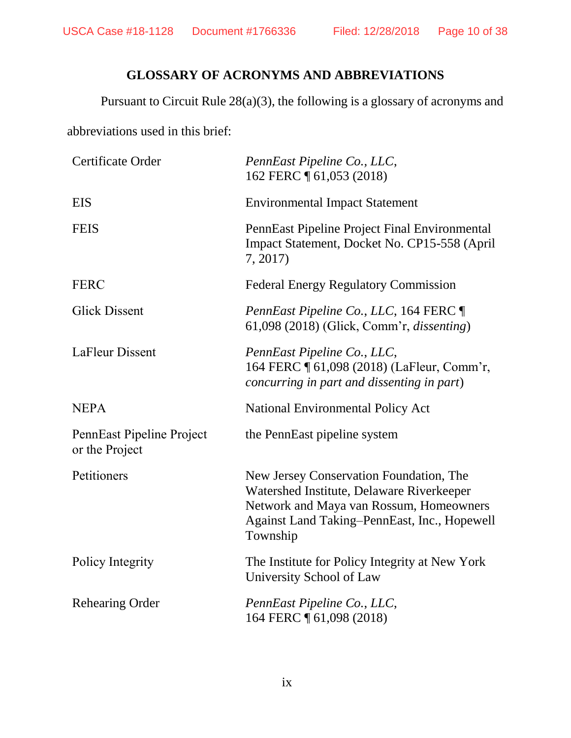# **GLOSSARY OF ACRONYMS AND ABBREVIATIONS**

<span id="page-9-0"></span>Pursuant to Circuit Rule 28(a)(3), the following is a glossary of acronyms and

abbreviations used in this brief:

| Certificate Order                           | PennEast Pipeline Co., LLC,<br>162 FERC 1 61,053 (2018)                                                                                                                                     |
|---------------------------------------------|---------------------------------------------------------------------------------------------------------------------------------------------------------------------------------------------|
| <b>EIS</b>                                  | <b>Environmental Impact Statement</b>                                                                                                                                                       |
| <b>FEIS</b>                                 | PennEast Pipeline Project Final Environmental<br>Impact Statement, Docket No. CP15-558 (April<br>7, 2017)                                                                                   |
| <b>FERC</b>                                 | <b>Federal Energy Regulatory Commission</b>                                                                                                                                                 |
| <b>Glick Dissent</b>                        | <i>PennEast Pipeline Co., LLC, 164 FERC</i><br>61,098 (2018) (Glick, Comm'r, <i>dissenting</i> )                                                                                            |
| LaFleur Dissent                             | PennEast Pipeline Co., LLC,<br>164 FERC ¶ 61,098 (2018) (LaFleur, Comm'r,<br>concurring in part and dissenting in part)                                                                     |
| <b>NEPA</b>                                 | <b>National Environmental Policy Act</b>                                                                                                                                                    |
| PennEast Pipeline Project<br>or the Project | the PennEast pipeline system                                                                                                                                                                |
| Petitioners                                 | New Jersey Conservation Foundation, The<br>Watershed Institute, Delaware Riverkeeper<br>Network and Maya van Rossum, Homeowners<br>Against Land Taking-PennEast, Inc., Hopewell<br>Township |
| Policy Integrity                            | The Institute for Policy Integrity at New York<br>University School of Law                                                                                                                  |
| <b>Rehearing Order</b>                      | PennEast Pipeline Co., LLC,<br>164 FERC 161,098 (2018)                                                                                                                                      |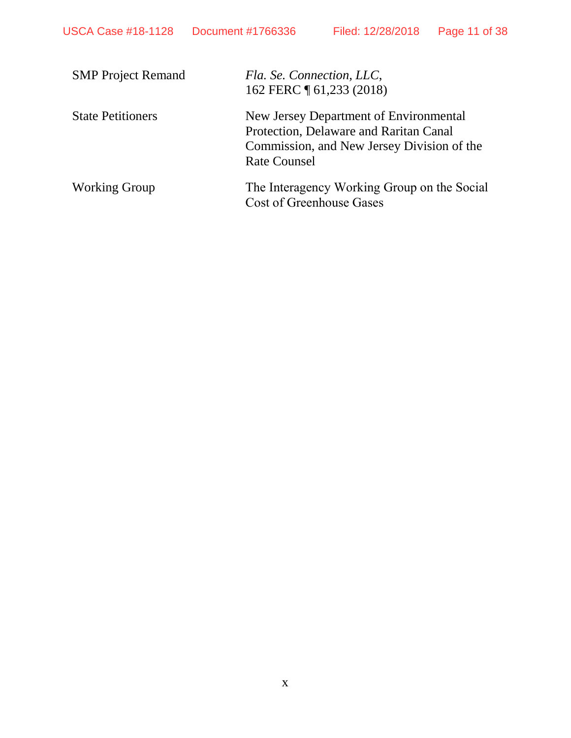| <b>SMP Project Remand</b> | Fla. Se. Connection, LLC,<br>162 FERC 1 61,233 (2018)                                                                                                 |
|---------------------------|-------------------------------------------------------------------------------------------------------------------------------------------------------|
| <b>State Petitioners</b>  | New Jersey Department of Environmental<br>Protection, Delaware and Raritan Canal<br>Commission, and New Jersey Division of the<br><b>Rate Counsel</b> |
| <b>Working Group</b>      | The Interagency Working Group on the Social<br><b>Cost of Greenhouse Gases</b>                                                                        |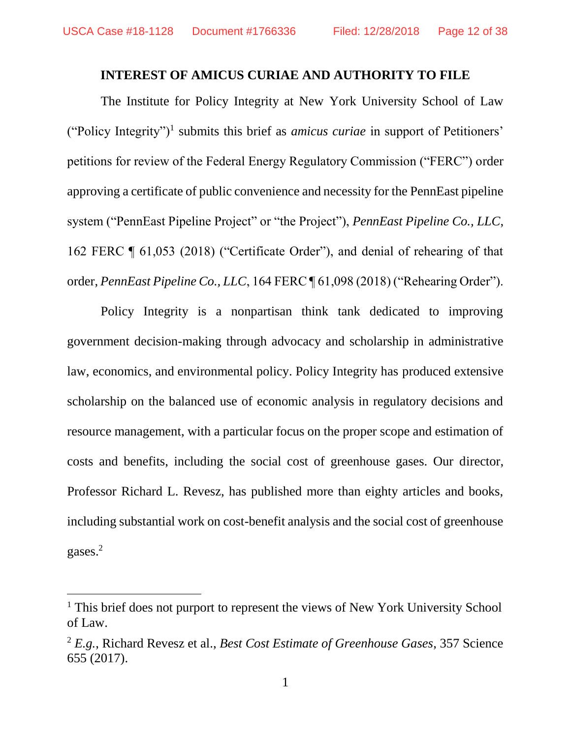### **INTEREST OF AMICUS CURIAE AND AUTHORITY TO FILE**

<span id="page-11-0"></span>The Institute for Policy Integrity at New York University School of Law ("Policy Integrity")<sup>1</sup> submits this brief as *amicus curiae* in support of Petitioners' petitions for review of the Federal Energy Regulatory Commission ("FERC") order approving a certificate of public convenience and necessity for the PennEast pipeline system ("PennEast Pipeline Project" or "the Project"), *PennEast Pipeline Co., LLC*, 162 FERC ¶ 61,053 (2018) ("Certificate Order"), and denial of rehearing of that order, *PennEast Pipeline Co., LLC*, 164 FERC ¶ 61,098 (2018) ("Rehearing Order").

Policy Integrity is a nonpartisan think tank dedicated to improving government decision-making through advocacy and scholarship in administrative law, economics, and environmental policy. Policy Integrity has produced extensive scholarship on the balanced use of economic analysis in regulatory decisions and resource management, with a particular focus on the proper scope and estimation of costs and benefits, including the social cost of greenhouse gases. Our director, Professor Richard L. Revesz, has published more than eighty articles and books, including substantial work on cost-benefit analysis and the social cost of greenhouse gases.<sup>2</sup>

<sup>&</sup>lt;sup>1</sup> This brief does not purport to represent the views of New York University School of Law.

<sup>2</sup> *E.g.*, Richard Revesz et al., *Best Cost Estimate of Greenhouse Gases*, 357 Science 655 (2017).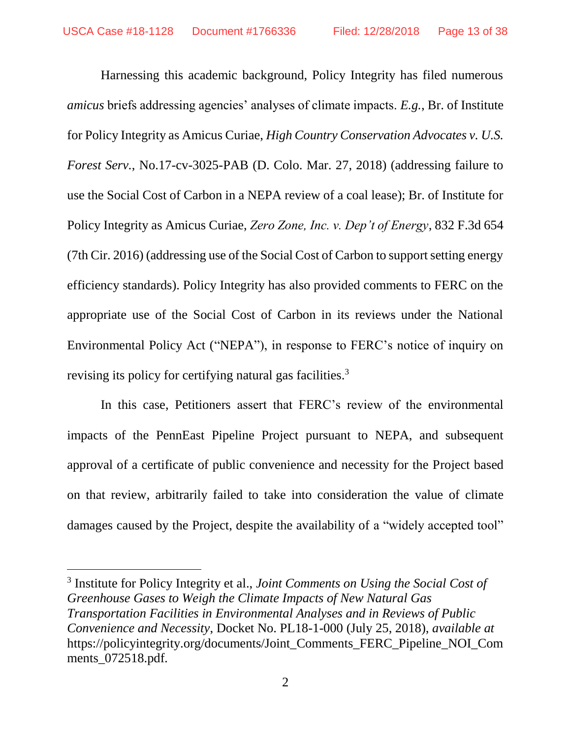Harnessing this academic background, Policy Integrity has filed numerous *amicus* briefs addressing agencies' analyses of climate impacts. *E.g.*, Br. of Institute for Policy Integrity as Amicus Curiae, *High Country Conservation Advocates v. U.S. Forest Serv.*, No.17-cv-3025-PAB (D. Colo. Mar. 27, 2018) (addressing failure to use the Social Cost of Carbon in a NEPA review of a coal lease); Br. of Institute for Policy Integrity as Amicus Curiae, *Zero Zone, Inc. v. Dep't of Energy*, 832 F.3d 654 (7th Cir. 2016) (addressing use of the Social Cost of Carbon to support setting energy efficiency standards). Policy Integrity has also provided comments to FERC on the appropriate use of the Social Cost of Carbon in its reviews under the National Environmental Policy Act ("NEPA"), in response to FERC's notice of inquiry on revising its policy for certifying natural gas facilities.<sup>3</sup>

In this case, Petitioners assert that FERC's review of the environmental impacts of the PennEast Pipeline Project pursuant to NEPA, and subsequent approval of a certificate of public convenience and necessity for the Project based on that review, arbitrarily failed to take into consideration the value of climate damages caused by the Project, despite the availability of a "widely accepted tool"

<sup>3</sup> Institute for Policy Integrity et al., *Joint Comments on Using the Social Cost of Greenhouse Gases to Weigh the Climate Impacts of New Natural Gas Transportation Facilities in Environmental Analyses and in Reviews of Public Convenience and Necessity*, Docket No. PL18-1-000 (July 25, 2018), *available at*  https://policyintegrity.org/documents/Joint\_Comments\_FERC\_Pipeline\_NOI\_Com ments\_072518.pdf*.*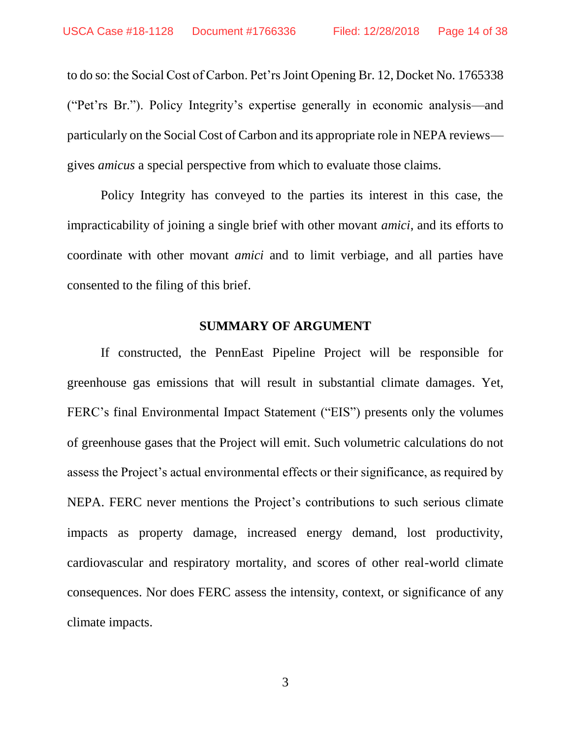to do so: the Social Cost of Carbon. Pet'rs Joint Opening Br. 12, Docket No. 1765338 ("Pet'rs Br."). Policy Integrity's expertise generally in economic analysis—and particularly on the Social Cost of Carbon and its appropriate role in NEPA reviews gives *amicus* a special perspective from which to evaluate those claims.

Policy Integrity has conveyed to the parties its interest in this case, the impracticability of joining a single brief with other movant *amici*, and its efforts to coordinate with other movant *amici* and to limit verbiage, and all parties have consented to the filing of this brief.

### **SUMMARY OF ARGUMENT**

<span id="page-13-0"></span>If constructed, the PennEast Pipeline Project will be responsible for greenhouse gas emissions that will result in substantial climate damages. Yet, FERC's final Environmental Impact Statement ("EIS") presents only the volumes of greenhouse gases that the Project will emit. Such volumetric calculations do not assess the Project's actual environmental effects or their significance, as required by NEPA. FERC never mentions the Project's contributions to such serious climate impacts as property damage, increased energy demand, lost productivity, cardiovascular and respiratory mortality, and scores of other real-world climate consequences. Nor does FERC assess the intensity, context, or significance of any climate impacts.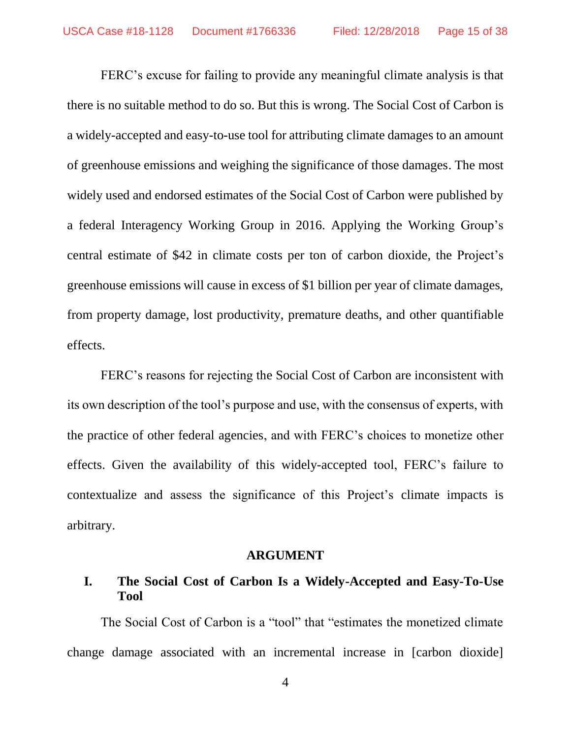FERC's excuse for failing to provide any meaningful climate analysis is that there is no suitable method to do so. But this is wrong. The Social Cost of Carbon is a widely-accepted and easy-to-use tool for attributing climate damages to an amount of greenhouse emissions and weighing the significance of those damages. The most widely used and endorsed estimates of the Social Cost of Carbon were published by a federal Interagency Working Group in 2016. Applying the Working Group's central estimate of \$42 in climate costs per ton of carbon dioxide, the Project's greenhouse emissions will cause in excess of \$1 billion per year of climate damages, from property damage, lost productivity, premature deaths, and other quantifiable effects.

FERC's reasons for rejecting the Social Cost of Carbon are inconsistent with its own description of the tool's purpose and use, with the consensus of experts, with the practice of other federal agencies, and with FERC's choices to monetize other effects. Given the availability of this widely-accepted tool, FERC's failure to contextualize and assess the significance of this Project's climate impacts is arbitrary.

### **ARGUMENT**

## <span id="page-14-1"></span><span id="page-14-0"></span>**I. The Social Cost of Carbon Is a Widely-Accepted and Easy-To-Use Tool**

The Social Cost of Carbon is a "tool" that "estimates the monetized climate change damage associated with an incremental increase in [carbon dioxide]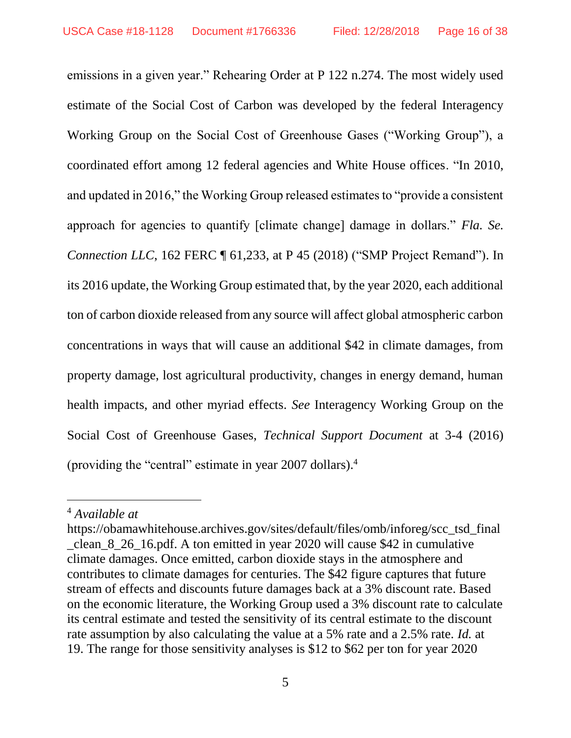emissions in a given year." Rehearing Order at P 122 n.274. The most widely used estimate of the Social Cost of Carbon was developed by the federal Interagency Working Group on the Social Cost of Greenhouse Gases ("Working Group"), a coordinated effort among 12 federal agencies and White House offices. "In 2010, and updated in 2016," the Working Group released estimates to "provide a consistent approach for agencies to quantify [climate change] damage in dollars." *Fla. Se. Connection LLC*, 162 FERC ¶ 61,233, at P 45 (2018) ("SMP Project Remand"). In its 2016 update, the Working Group estimated that, by the year 2020, each additional ton of carbon dioxide released from any source will affect global atmospheric carbon concentrations in ways that will cause an additional \$42 in climate damages, from property damage, lost agricultural productivity, changes in energy demand, human health impacts, and other myriad effects. *See* Interagency Working Group on the Social Cost of Greenhouse Gases, *Technical Support Document* at 3-4 (2016) (providing the "central" estimate in year 2007 dollars).<sup>4</sup>

l

<sup>4</sup> *Available at*

https://obamawhitehouse.archives.gov/sites/default/files/omb/inforeg/scc\_tsd\_final \_clean\_8\_26\_16.pdf. A ton emitted in year 2020 will cause \$42 in cumulative climate damages. Once emitted, carbon dioxide stays in the atmosphere and contributes to climate damages for centuries. The \$42 figure captures that future stream of effects and discounts future damages back at a 3% discount rate. Based on the economic literature, the Working Group used a 3% discount rate to calculate its central estimate and tested the sensitivity of its central estimate to the discount rate assumption by also calculating the value at a 5% rate and a 2.5% rate. *Id.* at 19. The range for those sensitivity analyses is \$12 to \$62 per ton for year 2020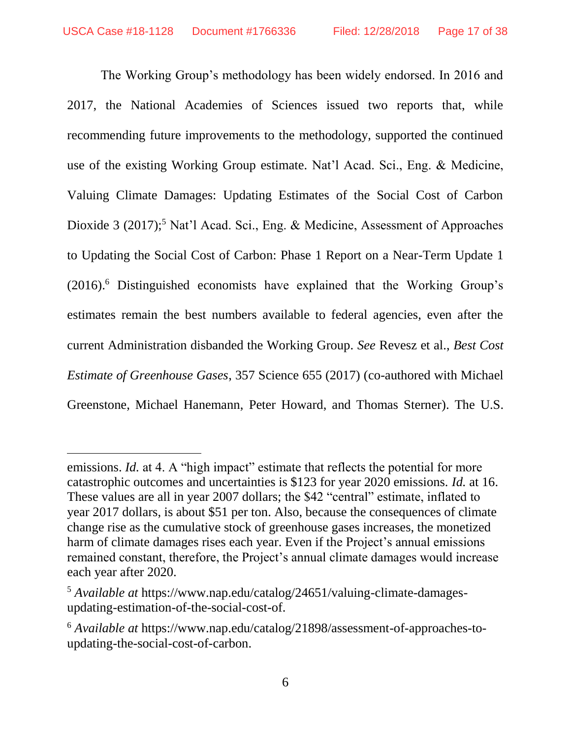The Working Group's methodology has been widely endorsed. In 2016 and 2017, the National Academies of Sciences issued two reports that, while recommending future improvements to the methodology, supported the continued use of the existing Working Group estimate. Nat'l Acad. Sci., Eng. & Medicine, Valuing Climate Damages: Updating Estimates of the Social Cost of Carbon Dioxide 3 (2017);<sup>5</sup> Nat'l Acad. Sci., Eng. & Medicine, Assessment of Approaches to Updating the Social Cost of Carbon: Phase 1 Report on a Near-Term Update 1 (2016).<sup>6</sup> Distinguished economists have explained that the Working Group's estimates remain the best numbers available to federal agencies, even after the current Administration disbanded the Working Group. *See* Revesz et al., *Best Cost Estimate of Greenhouse Gases*, 357 Science 655 (2017) (co-authored with Michael Greenstone, Michael Hanemann, Peter Howard, and Thomas Sterner). The U.S.

l

emissions. *Id.* at 4. A "high impact" estimate that reflects the potential for more catastrophic outcomes and uncertainties is \$123 for year 2020 emissions. *Id.* at 16. These values are all in year 2007 dollars; the \$42 "central" estimate, inflated to year 2017 dollars, is about \$51 per ton. Also, because the consequences of climate change rise as the cumulative stock of greenhouse gases increases, the monetized harm of climate damages rises each year. Even if the Project's annual emissions remained constant, therefore, the Project's annual climate damages would increase each year after 2020.

<sup>5</sup> *Available at* https://www.nap.edu/catalog/24651/valuing-climate-damagesupdating-estimation-of-the-social-cost-of.

<sup>6</sup> *Available at* https://www.nap.edu/catalog/21898/assessment-of-approaches-toupdating-the-social-cost-of-carbon.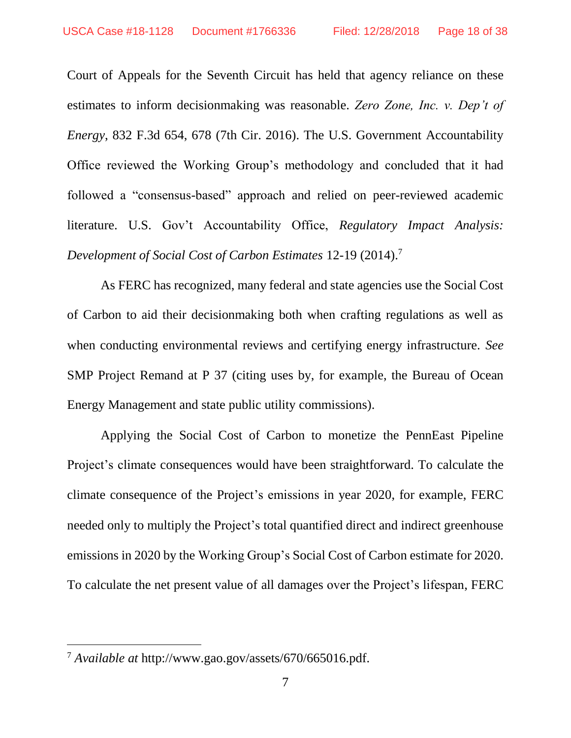Court of Appeals for the Seventh Circuit has held that agency reliance on these estimates to inform decisionmaking was reasonable. *Zero Zone, Inc. v. Dep't of Energy*, 832 F.3d 654, 678 (7th Cir. 2016). The U.S. Government Accountability Office reviewed the Working Group's methodology and concluded that it had followed a "consensus-based" approach and relied on peer-reviewed academic literature. U.S. Gov't Accountability Office, *Regulatory Impact Analysis: Development of Social Cost of Carbon Estimates* 12-19 (2014).<sup>7</sup>

As FERC has recognized, many federal and state agencies use the Social Cost of Carbon to aid their decisionmaking both when crafting regulations as well as when conducting environmental reviews and certifying energy infrastructure. *See*  SMP Project Remand at P 37 (citing uses by, for example, the Bureau of Ocean Energy Management and state public utility commissions).

Applying the Social Cost of Carbon to monetize the PennEast Pipeline Project's climate consequences would have been straightforward. To calculate the climate consequence of the Project's emissions in year 2020, for example, FERC needed only to multiply the Project's total quantified direct and indirect greenhouse emissions in 2020 by the Working Group's Social Cost of Carbon estimate for 2020. To calculate the net present value of all damages over the Project's lifespan, FERC

<sup>7</sup> *Available at* http://www.gao.gov/assets/670/665016.pdf.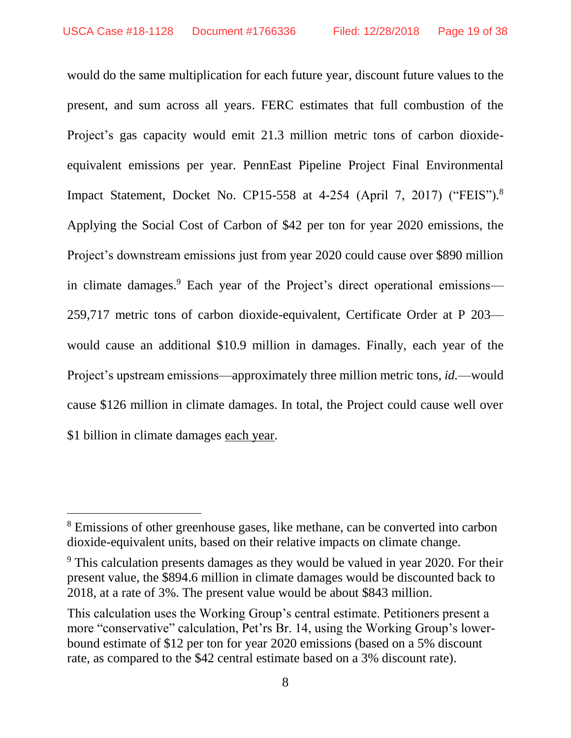would do the same multiplication for each future year, discount future values to the present, and sum across all years. FERC estimates that full combustion of the Project's gas capacity would emit 21.3 million metric tons of carbon dioxideequivalent emissions per year. PennEast Pipeline Project Final Environmental Impact Statement, Docket No. CP15-558 at 4-254 (April 7, 2017) ("FEIS"). 8 Applying the Social Cost of Carbon of \$42 per ton for year 2020 emissions, the Project's downstream emissions just from year 2020 could cause over \$890 million in climate damages.<sup>9</sup> Each year of the Project's direct operational emissions— 259,717 metric tons of carbon dioxide-equivalent, Certificate Order at P 203 would cause an additional \$10.9 million in damages. Finally, each year of the Project's upstream emissions—approximately three million metric tons, *id.*—would cause \$126 million in climate damages. In total, the Project could cause well over \$1 billion in climate damages each year.

<sup>&</sup>lt;sup>8</sup> Emissions of other greenhouse gases, like methane, can be converted into carbon dioxide-equivalent units, based on their relative impacts on climate change.

<sup>&</sup>lt;sup>9</sup> This calculation presents damages as they would be valued in year 2020. For their present value, the \$894.6 million in climate damages would be discounted back to 2018, at a rate of 3%. The present value would be about \$843 million.

This calculation uses the Working Group's central estimate. Petitioners present a more "conservative" calculation, Pet'rs Br. 14, using the Working Group's lowerbound estimate of \$12 per ton for year 2020 emissions (based on a 5% discount rate, as compared to the \$42 central estimate based on a 3% discount rate).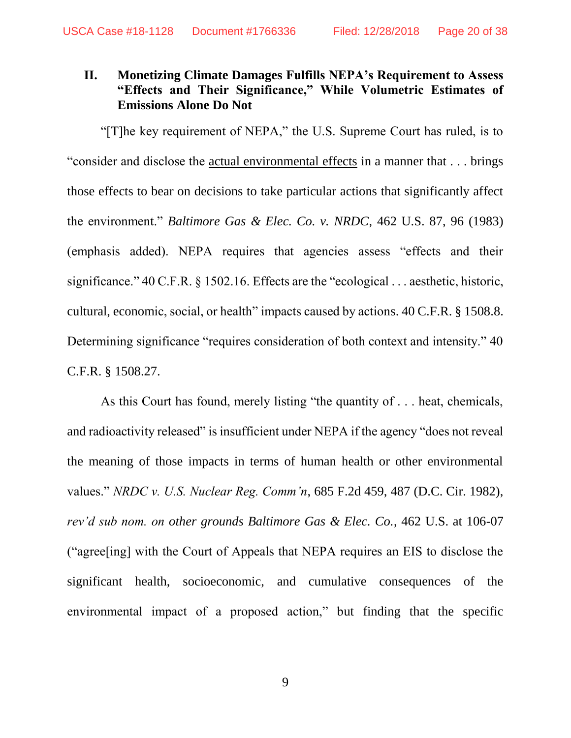# <span id="page-19-0"></span>**II. Monetizing Climate Damages Fulfills NEPA's Requirement to Assess "Effects and Their Significance," While Volumetric Estimates of Emissions Alone Do Not**

"[T]he key requirement of NEPA," the U.S. Supreme Court has ruled, is to "consider and disclose the actual environmental effects in a manner that . . . brings those effects to bear on decisions to take particular actions that significantly affect the environment." *Baltimore Gas & Elec. Co. v. NRDC*, 462 U.S. 87, 96 (1983) (emphasis added). NEPA requires that agencies assess "effects and their significance." 40 C.F.R. § 1502.16. Effects are the "ecological . . . aesthetic, historic, cultural, economic, social, or health" impacts caused by actions. 40 C.F.R. § 1508.8. Determining significance "requires consideration of both context and intensity." 40 C.F.R. § 1508.27.

As this Court has found, merely listing "the quantity of . . . heat, chemicals, and radioactivity released" is insufficient under NEPA if the agency "does not reveal the meaning of those impacts in terms of human health or other environmental values." *NRDC v. U.S. Nuclear Reg. Comm'n*, 685 F.2d 459, 487 (D.C. Cir. 1982), *rev'd sub nom. on other grounds Baltimore Gas & Elec. Co.*, 462 U.S. at 106-07 ("agree[ing] with the Court of Appeals that NEPA requires an EIS to disclose the significant health, socioeconomic, and cumulative consequences of the environmental impact of a proposed action," but finding that the specific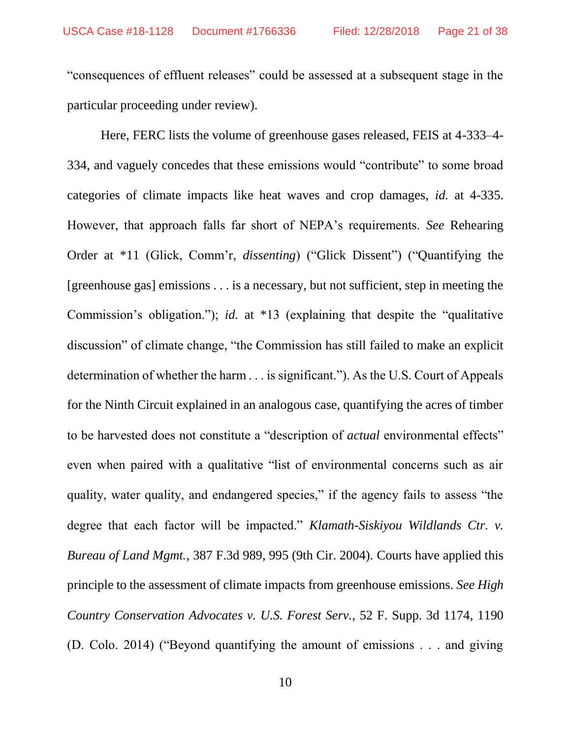"consequences of effluent releases" could be assessed at a subsequent stage in the particular proceeding under review).

Here, FERC lists the volume of greenhouse gases released, FEIS at 4-333–4- 334, and vaguely concedes that these emissions would "contribute" to some broad categories of climate impacts like heat waves and crop damages, *id.* at 4-335. However, that approach falls far short of NEPA's requirements. *See* Rehearing Order at \*11 (Glick, Comm'r, *dissenting*) ("Glick Dissent") ("Quantifying the [greenhouse gas] emissions . . . is a necessary, but not sufficient, step in meeting the Commission's obligation."); *id.* at \*13 (explaining that despite the "qualitative discussion" of climate change, "the Commission has still failed to make an explicit determination of whether the harm . . . is significant."). As the U.S. Court of Appeals for the Ninth Circuit explained in an analogous case, quantifying the acres of timber to be harvested does not constitute a "description of *actual* environmental effects" even when paired with a qualitative "list of environmental concerns such as air quality, water quality, and endangered species," if the agency fails to assess "the degree that each factor will be impacted." *Klamath-Siskiyou Wildlands Ctr. v. Bureau of Land Mgmt.*, 387 F.3d 989, 995 (9th Cir. 2004). Courts have applied this principle to the assessment of climate impacts from greenhouse emissions. *See High Country Conservation Advocates v. U.S. Forest Serv.*, 52 F. Supp. 3d 1174, 1190 (D. Colo. 2014) ("Beyond quantifying the amount of emissions . . . and giving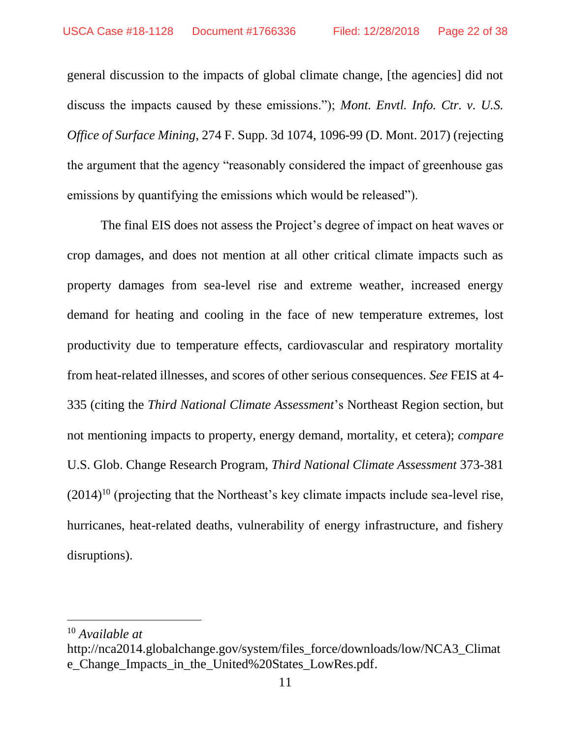general discussion to the impacts of global climate change, [the agencies] did not discuss the impacts caused by these emissions."); *Mont. Envtl. Info. Ctr. v. U.S. Office of Surface Mining*, 274 F. Supp. 3d 1074, 1096-99 (D. Mont. 2017) (rejecting the argument that the agency "reasonably considered the impact of greenhouse gas emissions by quantifying the emissions which would be released").

The final EIS does not assess the Project's degree of impact on heat waves or crop damages, and does not mention at all other critical climate impacts such as property damages from sea-level rise and extreme weather, increased energy demand for heating and cooling in the face of new temperature extremes, lost productivity due to temperature effects, cardiovascular and respiratory mortality from heat-related illnesses, and scores of other serious consequences. *See* FEIS at 4- 335 (citing the *Third National Climate Assessment*'s Northeast Region section, but not mentioning impacts to property, energy demand, mortality, et cetera); *compare* U.S. Glob. Change Research Program, *Third National Climate Assessment* 373-381  $(2014)^{10}$  (projecting that the Northeast's key climate impacts include sea-level rise, hurricanes, heat-related deaths, vulnerability of energy infrastructure, and fishery disruptions).

<sup>10</sup> *Available at* 

http://nca2014.globalchange.gov/system/files\_force/downloads/low/NCA3\_Climat e\_Change\_Impacts\_in\_the\_United%20States\_LowRes.pdf.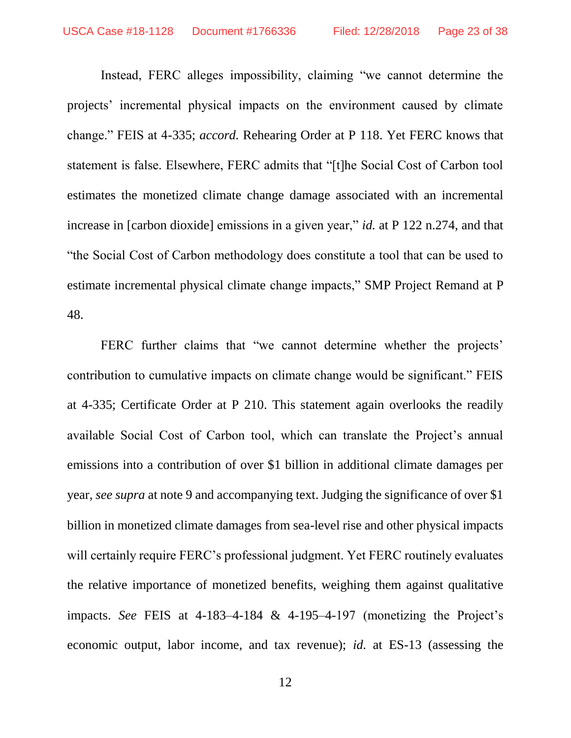Instead, FERC alleges impossibility, claiming "we cannot determine the projects' incremental physical impacts on the environment caused by climate change." FEIS at 4-335; *accord.* Rehearing Order at P 118. Yet FERC knows that statement is false. Elsewhere, FERC admits that "[t]he Social Cost of Carbon tool estimates the monetized climate change damage associated with an incremental increase in [carbon dioxide] emissions in a given year," *id.* at P 122 n.274, and that "the Social Cost of Carbon methodology does constitute a tool that can be used to estimate incremental physical climate change impacts," SMP Project Remand at P 48.

FERC further claims that "we cannot determine whether the projects' contribution to cumulative impacts on climate change would be significant." FEIS at 4-335; Certificate Order at P 210. This statement again overlooks the readily available Social Cost of Carbon tool, which can translate the Project's annual emissions into a contribution of over \$1 billion in additional climate damages per year, *see supra* at note 9 and accompanying text. Judging the significance of over \$1 billion in monetized climate damages from sea-level rise and other physical impacts will certainly require FERC's professional judgment. Yet FERC routinely evaluates the relative importance of monetized benefits, weighing them against qualitative impacts. *See* FEIS at 4-183–4-184 & 4-195–4-197 (monetizing the Project's economic output, labor income, and tax revenue); *id.* at ES-13 (assessing the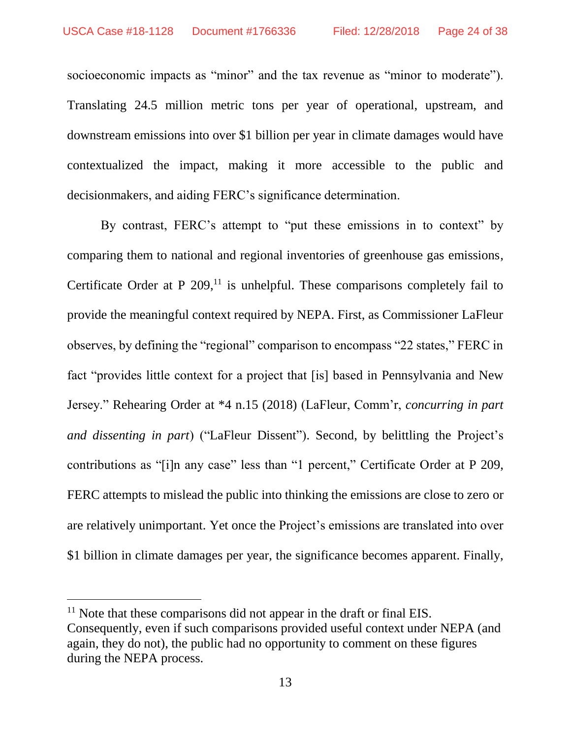socioeconomic impacts as "minor" and the tax revenue as "minor to moderate"). Translating 24.5 million metric tons per year of operational, upstream, and downstream emissions into over \$1 billion per year in climate damages would have contextualized the impact, making it more accessible to the public and decisionmakers, and aiding FERC's significance determination.

By contrast, FERC's attempt to "put these emissions in to context" by comparing them to national and regional inventories of greenhouse gas emissions, Certificate Order at  $P$  209,<sup>11</sup> is unhelpful. These comparisons completely fail to provide the meaningful context required by NEPA. First, as Commissioner LaFleur observes, by defining the "regional" comparison to encompass "22 states," FERC in fact "provides little context for a project that [is] based in Pennsylvania and New Jersey." Rehearing Order at \*4 n.15 (2018) (LaFleur, Comm'r, *concurring in part and dissenting in part*) ("LaFleur Dissent"). Second, by belittling the Project's contributions as "[i]n any case" less than "1 percent," Certificate Order at P 209, FERC attempts to mislead the public into thinking the emissions are close to zero or are relatively unimportant. Yet once the Project's emissions are translated into over \$1 billion in climate damages per year, the significance becomes apparent. Finally,

<sup>&</sup>lt;sup>11</sup> Note that these comparisons did not appear in the draft or final EIS. Consequently, even if such comparisons provided useful context under NEPA (and again, they do not), the public had no opportunity to comment on these figures during the NEPA process.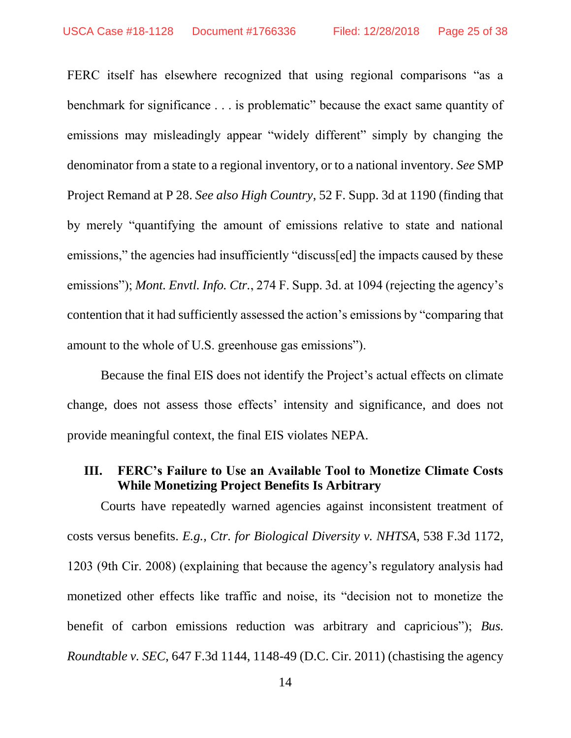FERC itself has elsewhere recognized that using regional comparisons "as a benchmark for significance . . . is problematic" because the exact same quantity of emissions may misleadingly appear "widely different" simply by changing the denominator from a state to a regional inventory, or to a national inventory. *See* SMP Project Remand at P 28. *See also High Country*, 52 F. Supp. 3d at 1190 (finding that by merely "quantifying the amount of emissions relative to state and national emissions," the agencies had insufficiently "discuss[ed] the impacts caused by these emissions"); *Mont. Envtl. Info. Ctr.*, 274 F. Supp. 3d. at 1094 (rejecting the agency's contention that it had sufficiently assessed the action's emissions by "comparing that amount to the whole of U.S. greenhouse gas emissions").

Because the final EIS does not identify the Project's actual effects on climate change, does not assess those effects' intensity and significance, and does not provide meaningful context, the final EIS violates NEPA.

### <span id="page-24-0"></span>**III. FERC's Failure to Use an Available Tool to Monetize Climate Costs While Monetizing Project Benefits Is Arbitrary**

Courts have repeatedly warned agencies against inconsistent treatment of costs versus benefits. *E.g., Ctr. for Biological Diversity v. NHTSA*, 538 F.3d 1172, 1203 (9th Cir. 2008) (explaining that because the agency's regulatory analysis had monetized other effects like traffic and noise, its "decision not to monetize the benefit of carbon emissions reduction was arbitrary and capricious"); *Bus. Roundtable v. SEC*, 647 F.3d 1144, 1148-49 (D.C. Cir. 2011) (chastising the agency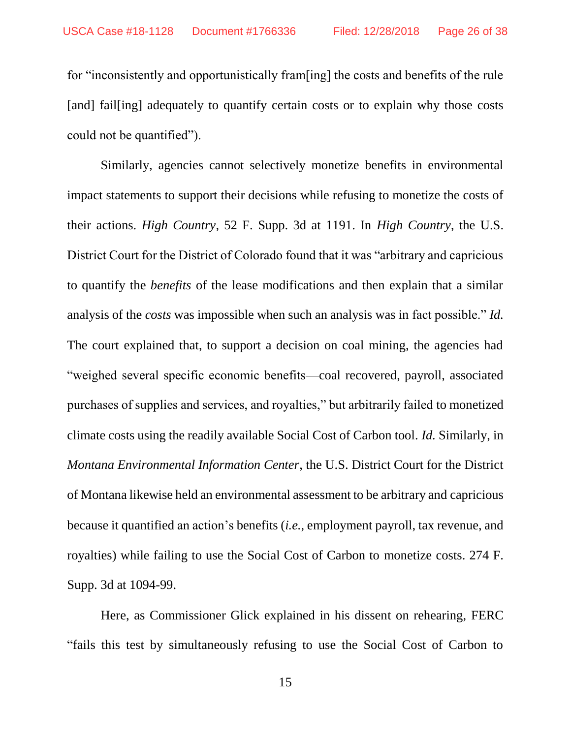for "inconsistently and opportunistically fram[ing] the costs and benefits of the rule [and] fail[ing] adequately to quantify certain costs or to explain why those costs could not be quantified").

Similarly, agencies cannot selectively monetize benefits in environmental impact statements to support their decisions while refusing to monetize the costs of their actions. *High Country*, 52 F. Supp. 3d at 1191. In *High Country*, the U.S. District Court for the District of Colorado found that it was "arbitrary and capricious to quantify the *benefits* of the lease modifications and then explain that a similar analysis of the *costs* was impossible when such an analysis was in fact possible." *Id.* The court explained that, to support a decision on coal mining, the agencies had "weighed several specific economic benefits—coal recovered, payroll, associated purchases of supplies and services, and royalties," but arbitrarily failed to monetized climate costs using the readily available Social Cost of Carbon tool. *Id.* Similarly, in *Montana Environmental Information Center*, the U.S. District Court for the District of Montana likewise held an environmental assessment to be arbitrary and capricious because it quantified an action's benefits (*i.e.*, employment payroll, tax revenue, and royalties) while failing to use the Social Cost of Carbon to monetize costs. 274 F. Supp. 3d at 1094-99.

Here, as Commissioner Glick explained in his dissent on rehearing, FERC "fails this test by simultaneously refusing to use the Social Cost of Carbon to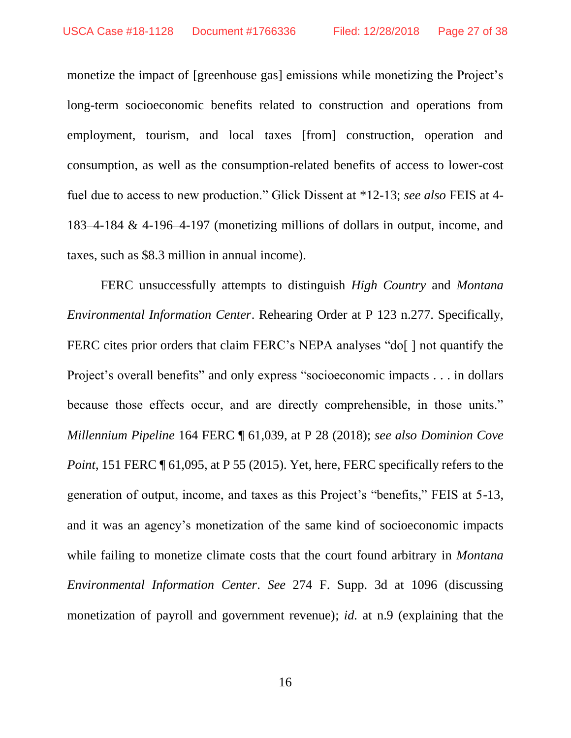monetize the impact of [greenhouse gas] emissions while monetizing the Project's long-term socioeconomic benefits related to construction and operations from employment, tourism, and local taxes [from] construction, operation and consumption, as well as the consumption-related benefits of access to lower-cost fuel due to access to new production." Glick Dissent at \*12-13; *see also* FEIS at 4- 183–4-184 & 4-196–4-197 (monetizing millions of dollars in output, income, and taxes, such as \$8.3 million in annual income).

FERC unsuccessfully attempts to distinguish *High Country* and *Montana Environmental Information Center*. Rehearing Order at P 123 n.277. Specifically, FERC cites prior orders that claim FERC's NEPA analyses "do[] not quantify the Project's overall benefits" and only express "socioeconomic impacts . . . in dollars because those effects occur, and are directly comprehensible, in those units." *Millennium Pipeline* 164 FERC ¶ 61,039, at P 28 (2018); *see also Dominion Cove Point*, 151 FERC  $\P$  61,095, at P 55 (2015). Yet, here, FERC specifically refers to the generation of output, income, and taxes as this Project's "benefits," FEIS at 5-13, and it was an agency's monetization of the same kind of socioeconomic impacts while failing to monetize climate costs that the court found arbitrary in *Montana Environmental Information Center*. *See* 274 F. Supp. 3d at 1096 (discussing monetization of payroll and government revenue); *id.* at n.9 (explaining that the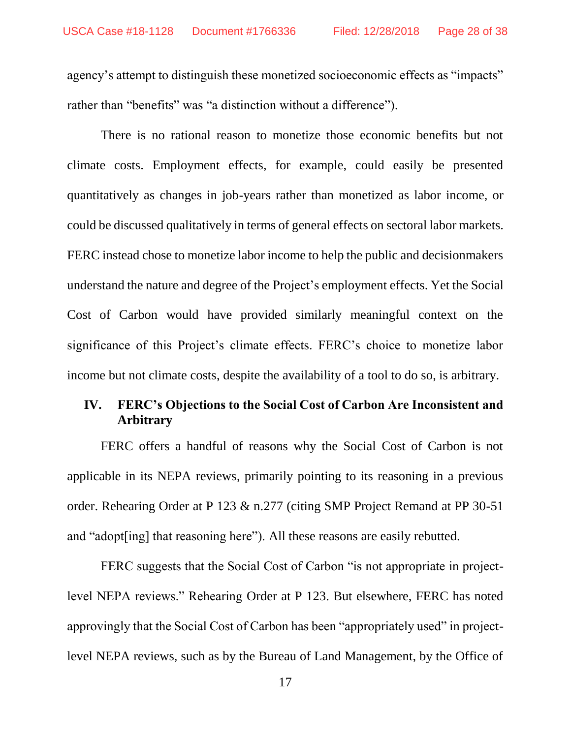agency's attempt to distinguish these monetized socioeconomic effects as "impacts" rather than "benefits" was "a distinction without a difference").

There is no rational reason to monetize those economic benefits but not climate costs. Employment effects, for example, could easily be presented quantitatively as changes in job-years rather than monetized as labor income, or could be discussed qualitatively in terms of general effects on sectoral labor markets. FERC instead chose to monetize labor income to help the public and decisionmakers understand the nature and degree of the Project's employment effects. Yet the Social Cost of Carbon would have provided similarly meaningful context on the significance of this Project's climate effects. FERC's choice to monetize labor income but not climate costs, despite the availability of a tool to do so, is arbitrary.

## <span id="page-27-0"></span>**IV. FERC's Objections to the Social Cost of Carbon Are Inconsistent and Arbitrary**

FERC offers a handful of reasons why the Social Cost of Carbon is not applicable in its NEPA reviews, primarily pointing to its reasoning in a previous order. Rehearing Order at P 123 & n.277 (citing SMP Project Remand at PP 30-51 and "adopt[ing] that reasoning here"). All these reasons are easily rebutted.

FERC suggests that the Social Cost of Carbon "is not appropriate in projectlevel NEPA reviews." Rehearing Order at P 123. But elsewhere, FERC has noted approvingly that the Social Cost of Carbon has been "appropriately used" in projectlevel NEPA reviews, such as by the Bureau of Land Management, by the Office of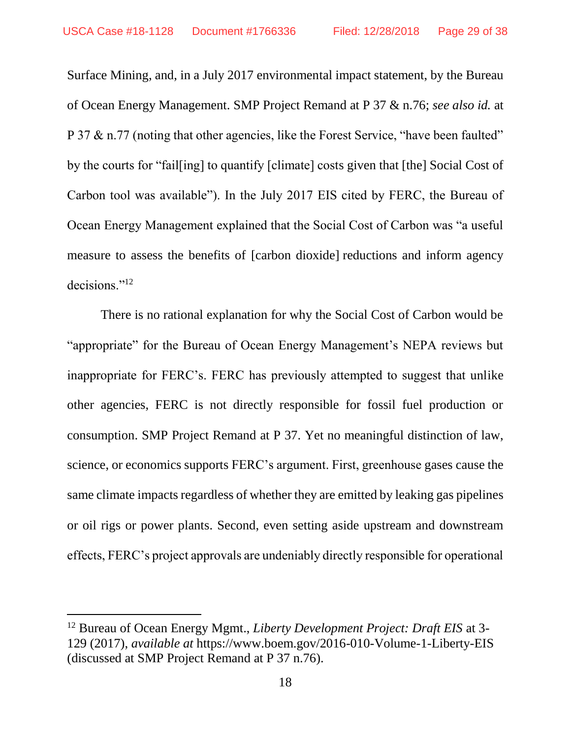Surface Mining, and, in a July 2017 environmental impact statement, by the Bureau of Ocean Energy Management. SMP Project Remand at P 37 & n.76; *see also id.* at P 37 & n.77 (noting that other agencies, like the Forest Service, "have been faulted" by the courts for "fail[ing] to quantify [climate] costs given that [the] Social Cost of Carbon tool was available"). In the July 2017 EIS cited by FERC, the Bureau of Ocean Energy Management explained that the Social Cost of Carbon was "a useful measure to assess the benefits of [carbon dioxide] reductions and inform agency decisions."<sup>12</sup>

There is no rational explanation for why the Social Cost of Carbon would be "appropriate" for the Bureau of Ocean Energy Management's NEPA reviews but inappropriate for FERC's. FERC has previously attempted to suggest that unlike other agencies, FERC is not directly responsible for fossil fuel production or consumption. SMP Project Remand at P 37. Yet no meaningful distinction of law, science, or economics supports FERC's argument. First, greenhouse gases cause the same climate impacts regardless of whether they are emitted by leaking gas pipelines or oil rigs or power plants. Second, even setting aside upstream and downstream effects, FERC's project approvals are undeniably directly responsible for operational

<sup>12</sup> Bureau of Ocean Energy Mgmt., *Liberty Development Project: Draft EIS* at 3- 129 (2017), *available at* https://www.boem.gov/2016-010-Volume-1-Liberty-EIS (discussed at SMP Project Remand at P 37 n.76).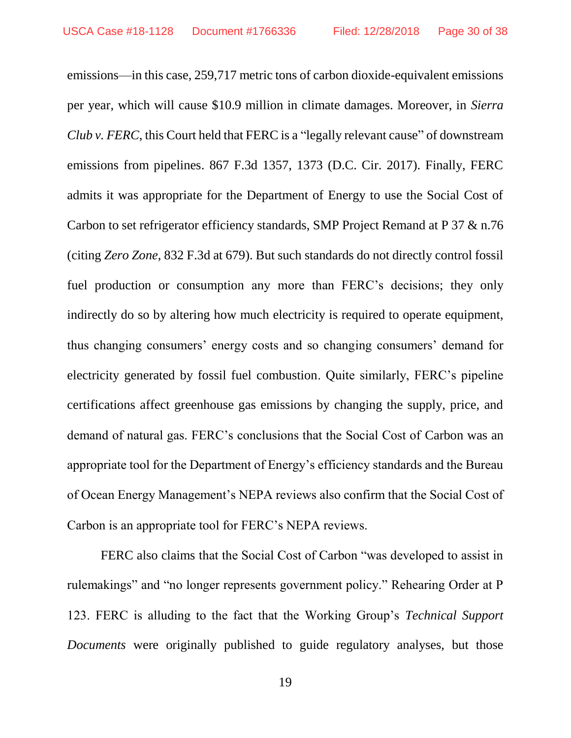emissions—in this case, 259,717 metric tons of carbon dioxide-equivalent emissions per year, which will cause \$10.9 million in climate damages. Moreover, in *Sierra Club v. FERC*, this Court held that FERC is a "legally relevant cause" of downstream emissions from pipelines. 867 F.3d 1357, 1373 (D.C. Cir. 2017). Finally, FERC admits it was appropriate for the Department of Energy to use the Social Cost of Carbon to set refrigerator efficiency standards, SMP Project Remand at P 37 & n.76 (citing *Zero Zone*, 832 F.3d at 679). But such standards do not directly control fossil fuel production or consumption any more than FERC's decisions; they only indirectly do so by altering how much electricity is required to operate equipment, thus changing consumers' energy costs and so changing consumers' demand for electricity generated by fossil fuel combustion. Quite similarly, FERC's pipeline certifications affect greenhouse gas emissions by changing the supply, price, and demand of natural gas. FERC's conclusions that the Social Cost of Carbon was an appropriate tool for the Department of Energy's efficiency standards and the Bureau of Ocean Energy Management's NEPA reviews also confirm that the Social Cost of Carbon is an appropriate tool for FERC's NEPA reviews.

FERC also claims that the Social Cost of Carbon "was developed to assist in rulemakings" and "no longer represents government policy." Rehearing Order at P 123. FERC is alluding to the fact that the Working Group's *Technical Support Documents* were originally published to guide regulatory analyses, but those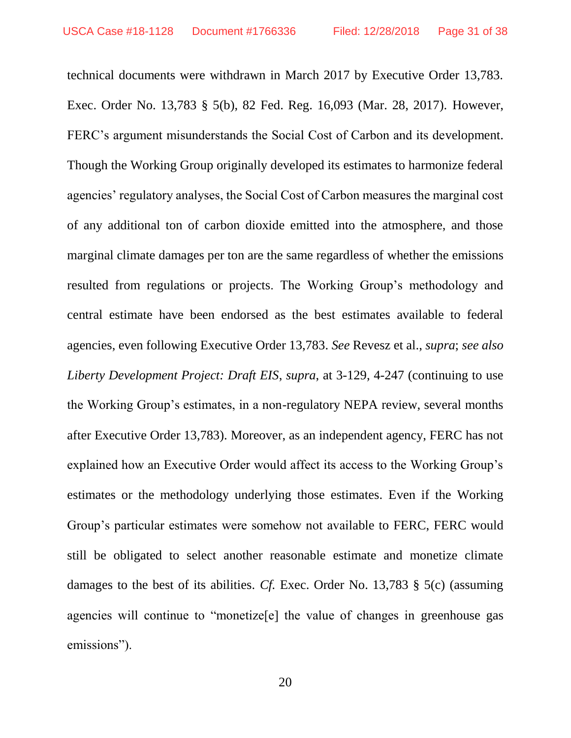technical documents were withdrawn in March 2017 by Executive Order 13,783. Exec. Order No. 13,783 § 5(b), 82 Fed. Reg. 16,093 (Mar. 28, 2017). However, FERC's argument misunderstands the Social Cost of Carbon and its development. Though the Working Group originally developed its estimates to harmonize federal agencies' regulatory analyses, the Social Cost of Carbon measures the marginal cost of any additional ton of carbon dioxide emitted into the atmosphere, and those marginal climate damages per ton are the same regardless of whether the emissions resulted from regulations or projects. The Working Group's methodology and central estimate have been endorsed as the best estimates available to federal agencies, even following Executive Order 13,783. *See* Revesz et al., *supra*; *see also Liberty Development Project: Draft EIS*, *supra*, at 3-129, 4-247 (continuing to use the Working Group's estimates, in a non-regulatory NEPA review, several months after Executive Order 13,783). Moreover, as an independent agency, FERC has not explained how an Executive Order would affect its access to the Working Group's estimates or the methodology underlying those estimates. Even if the Working Group's particular estimates were somehow not available to FERC, FERC would still be obligated to select another reasonable estimate and monetize climate damages to the best of its abilities. *Cf.* Exec. Order No. 13,783 § 5(c) (assuming agencies will continue to "monetize[e] the value of changes in greenhouse gas emissions").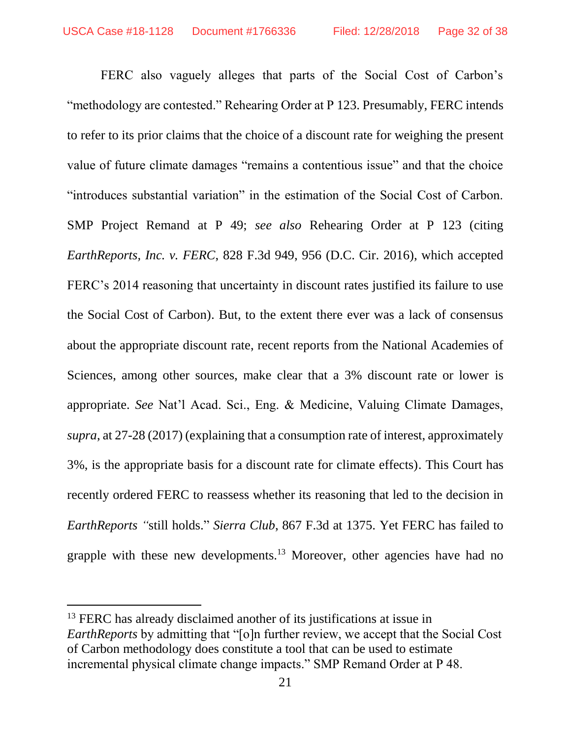FERC also vaguely alleges that parts of the Social Cost of Carbon's "methodology are contested." Rehearing Order at P 123. Presumably, FERC intends to refer to its prior claims that the choice of a discount rate for weighing the present value of future climate damages "remains a contentious issue" and that the choice "introduces substantial variation" in the estimation of the Social Cost of Carbon. SMP Project Remand at P 49; *see also* Rehearing Order at P 123 (citing *EarthReports, Inc. v. FERC*, 828 F.3d 949, 956 (D.C. Cir. 2016), which accepted FERC's 2014 reasoning that uncertainty in discount rates justified its failure to use the Social Cost of Carbon). But, to the extent there ever was a lack of consensus about the appropriate discount rate, recent reports from the National Academies of Sciences, among other sources, make clear that a 3% discount rate or lower is appropriate. *See* Nat'l Acad. Sci., Eng. & Medicine, Valuing Climate Damages, *supra*, at 27-28 (2017) (explaining that a consumption rate of interest, approximately 3%, is the appropriate basis for a discount rate for climate effects). This Court has recently ordered FERC to reassess whether its reasoning that led to the decision in *EarthReports "*still holds." *Sierra Club*, 867 F.3d at 1375. Yet FERC has failed to grapple with these new developments.<sup>13</sup> Moreover, other agencies have had no

<sup>&</sup>lt;sup>13</sup> FERC has already disclaimed another of its justifications at issue in *EarthReports* by admitting that "[o]n further review, we accept that the Social Cost of Carbon methodology does constitute a tool that can be used to estimate incremental physical climate change impacts." SMP Remand Order at P 48.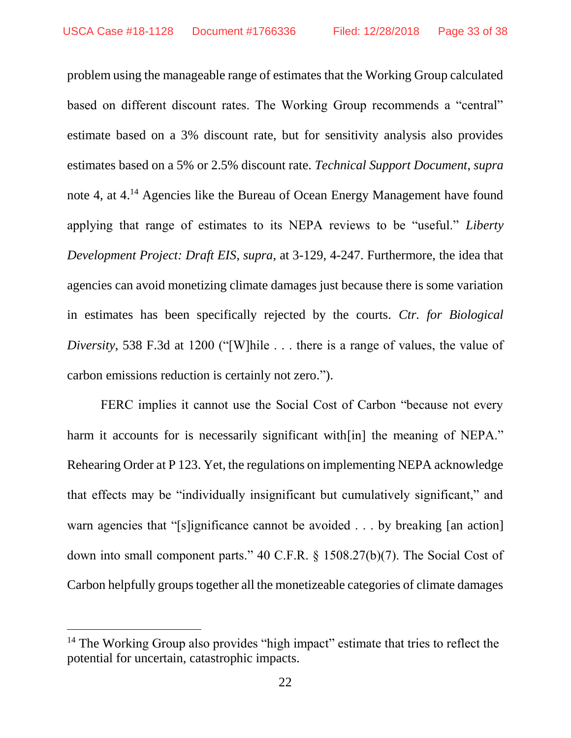problem using the manageable range of estimates that the Working Group calculated based on different discount rates. The Working Group recommends a "central" estimate based on a 3% discount rate, but for sensitivity analysis also provides estimates based on a 5% or 2.5% discount rate. *Technical Support Document*, *supra*  note 4, at 4.<sup>14</sup> Agencies like the Bureau of Ocean Energy Management have found applying that range of estimates to its NEPA reviews to be "useful." *Liberty Development Project: Draft EIS*, *supra*, at 3-129, 4-247. Furthermore, the idea that agencies can avoid monetizing climate damages just because there is some variation in estimates has been specifically rejected by the courts. *Ctr. for Biological Diversity*, 538 F.3d at 1200 ("[W]hile . . . there is a range of values, the value of carbon emissions reduction is certainly not zero.").

FERC implies it cannot use the Social Cost of Carbon "because not every harm it accounts for is necessarily significant with [in] the meaning of NEPA." Rehearing Order at P 123. Yet, the regulations on implementing NEPA acknowledge that effects may be "individually insignificant but cumulatively significant," and warn agencies that "[s]ignificance cannot be avoided . . . by breaking [an action] down into small component parts." 40 C.F.R. § 1508.27(b)(7). The Social Cost of Carbon helpfully groups together all the monetizeable categories of climate damages

<sup>&</sup>lt;sup>14</sup> The Working Group also provides "high impact" estimate that tries to reflect the potential for uncertain, catastrophic impacts.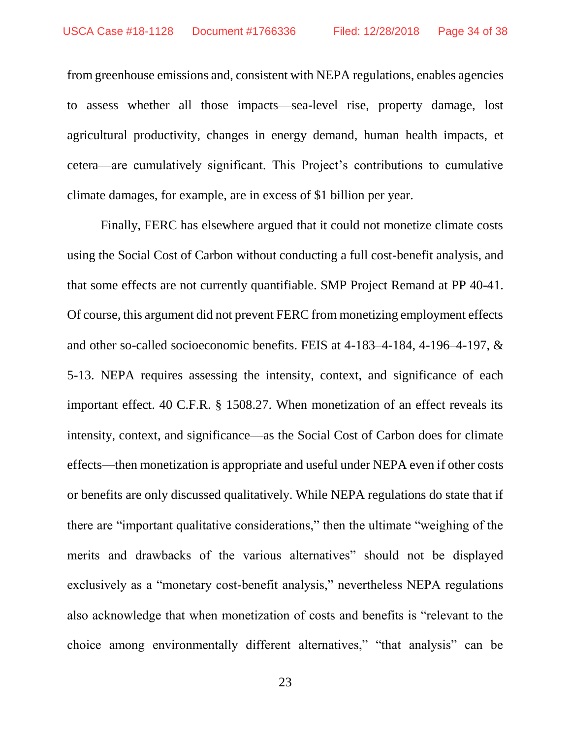from greenhouse emissions and, consistent with NEPA regulations, enables agencies to assess whether all those impacts—sea-level rise, property damage, lost agricultural productivity, changes in energy demand, human health impacts, et cetera—are cumulatively significant. This Project's contributions to cumulative climate damages, for example, are in excess of \$1 billion per year.

Finally, FERC has elsewhere argued that it could not monetize climate costs using the Social Cost of Carbon without conducting a full cost-benefit analysis, and that some effects are not currently quantifiable. SMP Project Remand at PP 40-41. Of course, this argument did not prevent FERC from monetizing employment effects and other so-called socioeconomic benefits. FEIS at 4-183–4-184, 4-196–4-197, & 5-13. NEPA requires assessing the intensity, context, and significance of each important effect. 40 C.F.R. § 1508.27. When monetization of an effect reveals its intensity, context, and significance—as the Social Cost of Carbon does for climate effects—then monetization is appropriate and useful under NEPA even if other costs or benefits are only discussed qualitatively. While NEPA regulations do state that if there are "important qualitative considerations," then the ultimate "weighing of the merits and drawbacks of the various alternatives" should not be displayed exclusively as a "monetary cost-benefit analysis," nevertheless NEPA regulations also acknowledge that when monetization of costs and benefits is "relevant to the choice among environmentally different alternatives," "that analysis" can be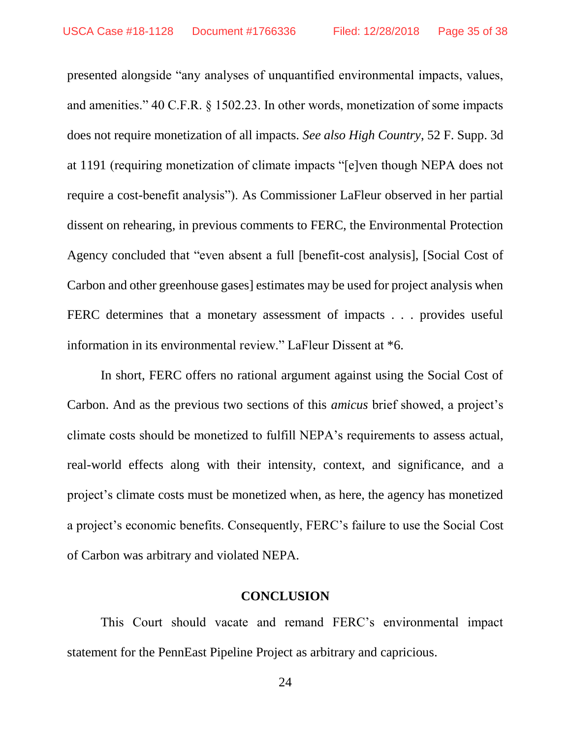presented alongside "any analyses of unquantified environmental impacts, values, and amenities." 40 C.F.R. § 1502.23. In other words, monetization of some impacts does not require monetization of all impacts. *See also High Country*, 52 F. Supp. 3d at 1191 (requiring monetization of climate impacts "[e]ven though NEPA does not require a cost-benefit analysis"). As Commissioner LaFleur observed in her partial dissent on rehearing, in previous comments to FERC, the Environmental Protection Agency concluded that "even absent a full [benefit-cost analysis], [Social Cost of Carbon and other greenhouse gases] estimates may be used for project analysis when FERC determines that a monetary assessment of impacts . . . provides useful information in its environmental review." LaFleur Dissent at \*6.

In short, FERC offers no rational argument against using the Social Cost of Carbon. And as the previous two sections of this *amicus* brief showed, a project's climate costs should be monetized to fulfill NEPA's requirements to assess actual, real-world effects along with their intensity, context, and significance, and a project's climate costs must be monetized when, as here, the agency has monetized a project's economic benefits. Consequently, FERC's failure to use the Social Cost of Carbon was arbitrary and violated NEPA.

### **CONCLUSION**

<span id="page-34-0"></span>This Court should vacate and remand FERC's environmental impact statement for the PennEast Pipeline Project as arbitrary and capricious.

24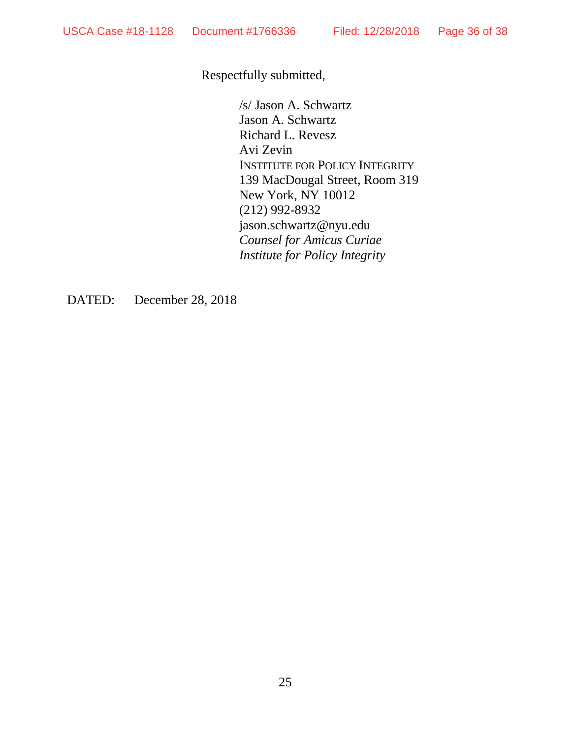Respectfully submitted,

/s/ Jason A. Schwartz Jason A. Schwartz Richard L. Revesz Avi Zevin INSTITUTE FOR POLICY INTEGRITY 139 MacDougal Street, Room 319 New York, NY 10012 (212) 992-8932 jason.schwartz@nyu.edu *Counsel for Amicus Curiae Institute for Policy Integrity*

DATED: December 28, 2018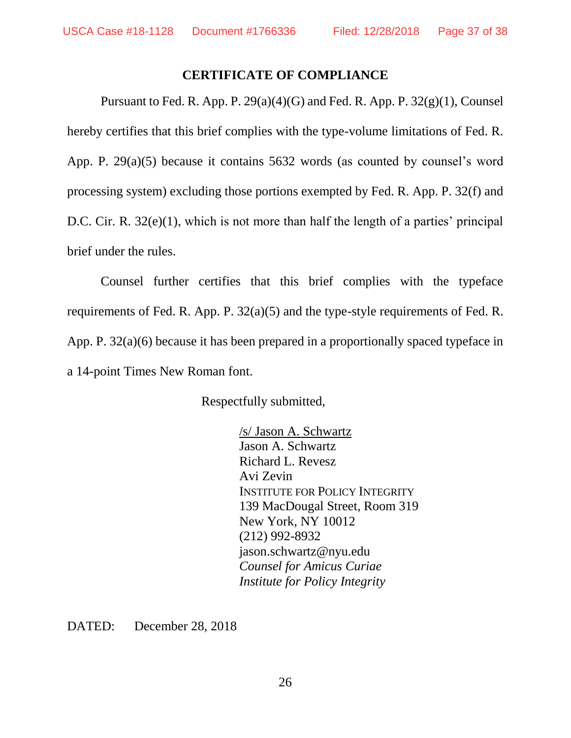### <span id="page-36-0"></span>**CERTIFICATE OF COMPLIANCE**

Pursuant to Fed. R. App. P. 29(a)(4)(G) and Fed. R. App. P. 32(g)(1), Counsel hereby certifies that this brief complies with the type-volume limitations of Fed. R. App. P. 29(a)(5) because it contains 5632 words (as counted by counsel's word processing system) excluding those portions exempted by Fed. R. App. P. 32(f) and D.C. Cir. R. 32(e)(1), which is not more than half the length of a parties' principal brief under the rules.

Counsel further certifies that this brief complies with the typeface requirements of Fed. R. App. P. 32(a)(5) and the type-style requirements of Fed. R. App. P. 32(a)(6) because it has been prepared in a proportionally spaced typeface in a 14-point Times New Roman font.

Respectfully submitted,

/s/ Jason A. Schwartz Jason A. Schwartz Richard L. Revesz Avi Zevin INSTITUTE FOR POLICY INTEGRITY 139 MacDougal Street, Room 319 New York, NY 10012 (212) 992-8932 jason.schwartz@nyu.edu *Counsel for Amicus Curiae Institute for Policy Integrity*

DATED: December 28, 2018